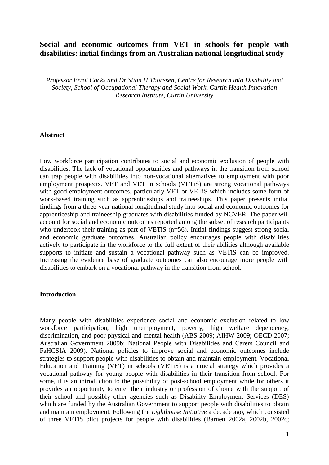# **Social and economic outcomes from VET in schools for people with disabilities: initial findings from an Australian national longitudinal study**

*Professor Errol Cocks and Dr Stian H Thoresen, Centre for Research into Disability and Society, School of Occupational Therapy and Social Work, Curtin Health Innovation Research Institute, Curtin University*

#### **Abstract**

Low workforce participation contributes to social and economic exclusion of people with disabilities. The lack of vocational opportunities and pathways in the transition from school can trap people with disabilities into non-vocational alternatives to employment with poor employment prospects. VET and VET in schools (VETiS) are strong vocational pathways with good employment outcomes, particularly VET or VETiS which includes some form of work-based training such as apprenticeships and traineeships. This paper presents initial findings from a three-year national longitudinal study into social and economic outcomes for apprenticeship and traineeship graduates with disabilities funded by NCVER. The paper will account for social and economic outcomes reported among the subset of research participants who undertook their training as part of VETiS (n=56). Initial findings suggest strong social and economic graduate outcomes. Australian policy encourages people with disabilities actively to participate in the workforce to the full extent of their abilities although available supports to initiate and sustain a vocational pathway such as VETiS can be improved. Increasing the evidence base of graduate outcomes can also encourage more people with disabilities to embark on a vocational pathway in the transition from school.

#### **Introduction**

Many people with disabilities experience social and economic exclusion related to low workforce participation, high unemployment, poverty, high welfare dependency, discrimination, and poor physical and mental health (ABS 2009; AIHW 2009; OECD 2007; Australian Government 2009b; National People with Disabilities and Carers Council and FaHCSIA 2009). National policies to improve social and economic outcomes include strategies to support people with disabilities to obtain and maintain employment. Vocational Education and Training (VET) in schools (VETiS) is a crucial strategy which provides a vocational pathway for young people with disabilities in their transition from school. For some, it is an introduction to the possibility of post-school employment while for others it provides an opportunity to enter their industry or profession of choice with the support of their school and possibly other agencies such as Disability Employment Services (DES) which are funded by the Australian Government to support people with disabilities to obtain and maintain employment. Following the *Lighthouse Initiative* a decade ago, which consisted of three VETiS pilot projects for people with disabilities (Barnett 2002a, 2002b, 2002c;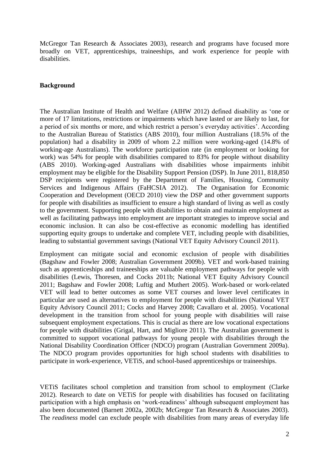McGregor Tan Research & Associates 2003), research and programs have focused more broadly on VET, apprenticeships, traineeships, and work experience for people with disabilities.

## **Background**

The Australian Institute of Health and Welfare (AIHW 2012) defined disability as 'one or more of 17 limitations, restrictions or impairments which have lasted or are likely to last, for a period of six months or more, and which restrict a person's everyday activities'. According to the Australian Bureau of Statistics (ABS 2010), four million Australians (18.5% of the population) had a disability in 2009 of whom 2.2 million were working-aged (14.8% of working-age Australians). The workforce participation rate (in employment or looking for work) was 54% for people with disabilities compared to 83% for people without disability (ABS 2010). Working-aged Australians with disabilities whose impairments inhibit employment may be eligible for the Disability Support Pension (DSP). In June 2011, 818,850 DSP recipients were registered by the Department of Families, Housing, Community Services and Indigenous Affairs (FaHCSIA 2012). The Organisation for Economic Cooperation and Development (OECD 2010) view the DSP and other government supports for people with disabilities as insufficient to ensure a high standard of living as well as costly to the government. Supporting people with disabilities to obtain and maintain employment as well as facilitating pathways into employment are important strategies to improve social and economic inclusion. It can also be cost-effective as economic modelling has identified supporting equity groups to undertake and complete VET, including people with disabilities, leading to substantial government savings (National VET Equity Advisory Council 2011).

Employment can mitigate social and economic exclusion of people with disabilities (Bagshaw and Fowler 2008; Australian Government 2009b). VET and work-based training such as apprenticeships and traineeships are valuable employment pathways for people with disabilities (Lewis, Thoresen, and Cocks 2011b; National VET Equity Advisory Council 2011; Bagshaw and Fowler 2008; Luftig and Muthert 2005). Work-based or work-related VET will lead to better outcomes as some VET courses and lower level certificates in particular are used as alternatives to employment for people with disabilities (National VET Equity Advisory Council 2011; Cocks and Harvey 2008; Cavallaro et al. 2005). Vocational development in the transition from school for young people with disabilities will raise subsequent employment expectations. This is crucial as there are low vocational expectations for people with disabilities (Grigal, Hart, and Migliore 2011). The Australian government is committed to support vocational pathways for young people with disabilities through the National Disability Coordination Officer (NDCO) program (Australian Government 2009a). The NDCO program provides opportunities for high school students with disabilities to participate in work-experience, VETiS, and school-based apprenticeships or traineeships.

VETiS facilitates school completion and transition from school to employment (Clarke 2012). Research to date on VETiS for people with disabilities has focused on facilitating participation with a high emphasis on 'work-readiness' although subsequent employment has also been documented (Barnett 2002a, 2002b; McGregor Tan Research & Associates 2003). The *readiness* model can exclude people with disabilities from many areas of everyday life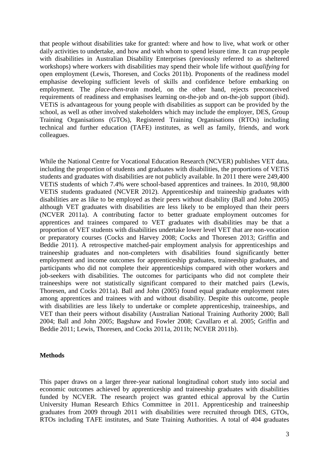that people without disabilities take for granted: where and how to live, what work or other daily activities to undertake, and how and with whom to spend leisure time. It can *trap* people with disabilities in Australian Disability Enterprises (previously referred to as sheltered workshops) where workers with disabilities may spend their whole life without *qualifying* for open employment (Lewis, Thoresen, and Cocks 2011b). Proponents of the readiness model emphasise developing sufficient levels of skills and confidence before embarking on employment. The *place-then-train* model, on the other hand, rejects preconceived requirements of readiness and emphasises learning on-the-job and on-the-job support (ibid). VETiS is advantageous for young people with disabilities as support can be provided by the school, as well as other involved stakeholders which may include the employer, DES, Group Training Organisations (GTOs), Registered Training Organisations (RTOs) including technical and further education (TAFE) institutes, as well as family, friends, and work colleagues.

While the National Centre for Vocational Education Research (NCVER) publishes VET data, including the proportion of students and graduates with disabilities, the proportions of VETiS students and graduates with disabilities are not publicly available. In 2011 there were 249,400 VETiS students of which 7.4% were school-based apprentices and trainees. In 2010, 98,800 VETiS students graduated (NCVER 2012). Apprenticeship and traineeship graduates with disabilities are as like to be employed as their peers without disability (Ball and John 2005) although VET graduates with disabilities are less likely to be employed than their peers (NCVER 2011a). A contributing factor to better graduate employment outcomes for apprentices and trainees compared to VET graduates with disabilities may be that a proportion of VET students with disabilities undertake lower level VET that are non-vocation or preparatory courses (Cocks and Harvey 2008; Cocks and Thoresen 2013; Griffin and Beddie 2011). A retrospective matched-pair employment analysis for apprenticeships and traineeship graduates and non-completers with disabilities found significantly better employment and income outcomes for apprenticeship graduates, traineeship graduates, and participants who did not complete their apprenticeships compared with other workers and job-seekers with disabilities. The outcomes for participants who did not complete their traineeships were not statistically significant compared to their matched pairs (Lewis, Thoresen, and Cocks 2011a). Ball and John (2005) found equal graduate employment rates among apprentices and trainees with and without disability. Despite this outcome, people with disabilities are less likely to undertake or complete apprenticeship, traineeships, and VET than their peers without disability (Australian National Training Authority 2000; Ball 2004; Ball and John 2005; Bagshaw and Fowler 2008; Cavallaro et al. 2005; Griffin and Beddie 2011; Lewis, Thoresen, and Cocks 2011a, 2011b; NCVER 2011b).

#### **Methods**

This paper draws on a larger three-year national longitudinal cohort study into social and economic outcomes achieved by apprenticeship and traineeship graduates with disabilities funded by NCVER. The research project was granted ethical approval by the Curtin University Human Research Ethics Committee in 2011. Apprenticeship and traineeship graduates from 2009 through 2011 with disabilities were recruited through DES, GTOs, RTOs including TAFE institutes, and State Training Authorities. A total of 404 graduates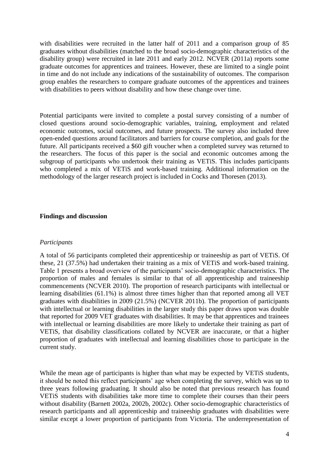with disabilities were recruited in the latter half of 2011 and a comparison group of 85 graduates without disabilities (matched to the broad socio-demographic characteristics of the disability group) were recruited in late 2011 and early 2012. NCVER (2011a) reports some graduate outcomes for apprentices and trainees. However, these are limited to a single point in time and do not include any indications of the sustainability of outcomes. The comparison group enables the researchers to compare graduate outcomes of the apprentices and trainees with disabilities to peers without disability and how these change over time.

Potential participants were invited to complete a postal survey consisting of a number of closed questions around socio-demographic variables, training, employment and related economic outcomes, social outcomes, and future prospects. The survey also included three open-ended questions around facilitators and barriers for course completion, and goals for the future. All participants received a \$60 gift voucher when a completed survey was returned to the researchers. The focus of this paper is the social and economic outcomes among the subgroup of participants who undertook their training as VETiS. This includes participants who completed a mix of VETiS and work-based training. Additional information on the methodology of the larger research project is included in Cocks and Thoresen (2013).

#### **Findings and discussion**

#### *Participants*

A total of 56 participants completed their apprenticeship or traineeship as part of VETiS. Of these, 21 (37.5%) had undertaken their training as a mix of VETiS and work-based training. Table 1 presents a broad overview of the participants' socio-demographic characteristics. The proportion of males and females is similar to that of all apprenticeship and traineeship commencements (NCVER 2010). The proportion of research participants with intellectual or learning disabilities (61.1%) is almost three times higher than that reported among all VET graduates with disabilities in 2009 (21.5%) (NCVER 2011b). The proportion of participants with intellectual or learning disabilities in the larger study this paper draws upon was double that reported for 2009 VET graduates with disabilities. It may be that apprentices and trainees with intellectual or learning disabilities are more likely to undertake their training as part of VETiS, that disability classifications collated by NCVER are inaccurate, or that a higher proportion of graduates with intellectual and learning disabilities chose to participate in the current study.

While the mean age of participants is higher than what may be expected by VETiS students, it should be noted this reflect participants' age when completing the survey, which was up to three years following graduating. It should also be noted that previous research has found VETiS students with disabilities take more time to complete their courses than their peers without disability (Barnett 2002a, 2002b, 2002c). Other socio-demographic characteristics of research participants and all apprenticeship and traineeship graduates with disabilities were similar except a lower proportion of participants from Victoria. The underrepresentation of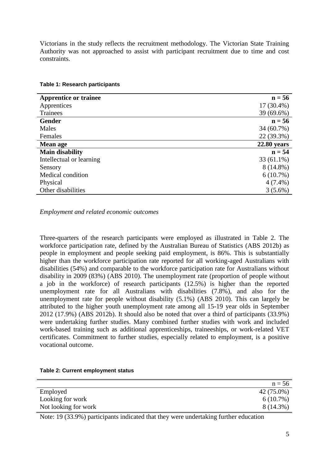Victorians in the study reflects the recruitment methodology. The Victorian State Training Authority was not approached to assist with participant recruitment due to time and cost constraints.

| <b>Apprentice or trainee</b> | $n = 56$      |
|------------------------------|---------------|
| Apprentices                  | $17(30.4\%)$  |
| Trainees                     | 39 (69.6%)    |
| <b>Gender</b>                | $n = 56$      |
| Males                        | 34 (60.7%)    |
| Females                      | 22 (39.3%)    |
| <b>Mean age</b>              | $22.80$ years |
| <b>Main disability</b>       | $n = 54$      |
| Intellectual or learning     | $33(61.1\%)$  |
| Sensory                      | 8 (14.8%)     |
| Medical condition            | $6(10.7\%)$   |
| Physical                     | $4(7.4\%)$    |
| Other disabilities           | $3(5.6\%)$    |

### **Table 1: Research participants**

*Employment and related economic outcomes*

Three-quarters of the research participants were employed as illustrated in Table 2. The workforce participation rate, defined by the Australian Bureau of Statistics (ABS 2012b) as people in employment and people seeking paid employment, is 86%. This is substantially higher than the workforce participation rate reported for all working-aged Australians with disabilities (54%) and comparable to the workforce participation rate for Australians without disability in 2009 (83%) (ABS 2010). The unemployment rate (proportion of people without a job in the workforce) of research participants (12.5%) is higher than the reported unemployment rate for all Australians with disabilities (7.8%), and also for the unemployment rate for people without disability (5.1%) (ABS 2010). This can largely be attributed to the higher youth unemployment rate among all 15-19 year olds in September 2012 (17.9%) (ABS 2012b). It should also be noted that over a third of participants (33.9%) were undertaking further studies. Many combined further studies with work and included work-based training such as additional apprenticeships, traineeships, or work-related VET certificates. Commitment to further studies, especially related to employment, is a positive vocational outcome.

|  |  | Table 2: Current employment status |  |
|--|--|------------------------------------|--|
|--|--|------------------------------------|--|

|                      | $n = 56$    |
|----------------------|-------------|
| Employed             | 42 (75.0%)  |
| Looking for work     | $6(10.7\%)$ |
| Not looking for work | 8 (14.3%)   |

Note: 19 (33.9%) participants indicated that they were undertaking further education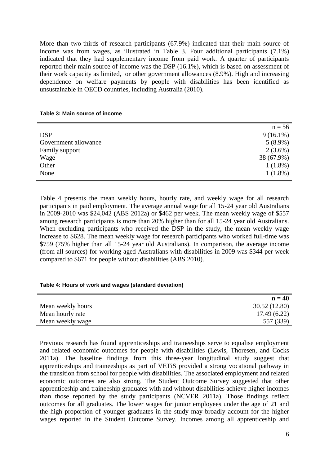More than two-thirds of research participants (67.9%) indicated that their main source of income was from wages, as illustrated in Table 3. Four additional participants (7.1%) indicated that they had supplementary income from paid work. A quarter of participants reported their main source of income was the DSP (16.1%), which is based on assessment of their work capacity as limited, or other government allowances (8.9%). High and increasing dependence on welfare payments by people with disabilities has been identified as unsustainable in OECD countries, including Australia (2010).

#### **Table 3: Main source of income**

|                      | $n = 56$    |
|----------------------|-------------|
| <b>DSP</b>           | $9(16.1\%)$ |
| Government allowance | $5(8.9\%)$  |
| Family support       | $2(3.6\%)$  |
| Wage                 | 38 (67.9%)  |
| Other                | $1(1.8\%)$  |
| None                 | $1(1.8\%)$  |

Table 4 presents the mean weekly hours, hourly rate, and weekly wage for all research participants in paid employment. The average annual wage for all 15-24 year old Australians in 2009-2010 was \$24,042 (ABS 2012a) or \$462 per week. The mean weekly wage of \$557 among research participants is more than 20% higher than for all 15-24 year old Australians. When excluding participants who received the DSP in the study, the mean weekly wage increase to \$628. The mean weekly wage for research participants who worked full-time was \$759 (75% higher than all 15-24 year old Australians). In comparison, the average income (from all sources) for working aged Australians with disabilities in 2009 was \$344 per week compared to \$671 for people without disabilities (ABS 2010).

# **Table 4: Hours of work and wages (standard deviation)**

|                   | $n = 40$      |
|-------------------|---------------|
| Mean weekly hours | 30.52 (12.80) |
| Mean hourly rate  | 17.49(6.22)   |
| Mean weekly wage  | 557 (339)     |

Previous research has found apprenticeships and traineeships serve to equalise employment and related economic outcomes for people with disabilities (Lewis, Thoresen, and Cocks 2011a). The baseline findings from this three-year longitudinal study suggest that apprenticeships and traineeships as part of VETiS provided a strong vocational pathway in the transition from school for people with disabilities. The associated employment and related economic outcomes are also strong. The Student Outcome Survey suggested that other apprenticeship and traineeship graduates with and without disabilities achieve higher incomes than those reported by the study participants (NCVER 2011a). Those findings reflect outcomes for all graduates. The lower wages for junior employees under the age of 21 and the high proportion of younger graduates in the study may broadly account for the higher wages reported in the Student Outcome Survey. Incomes among all apprenticeship and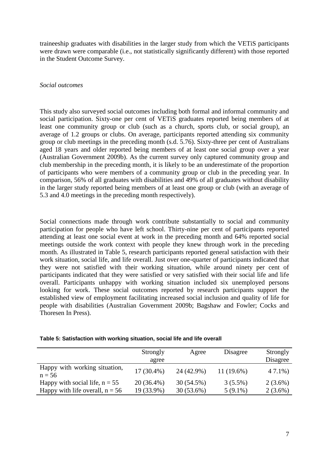traineeship graduates with disabilities in the larger study from which the VETiS participants were drawn were comparable (i.e., not statistically significantly different) with those reported in the Student Outcome Survey.

## *Social outcomes*

This study also surveyed social outcomes including both formal and informal community and social participation. Sixty-one per cent of VETiS graduates reported being members of at least one community group or club (such as a church, sports club, or social group), an average of 1.2 groups or clubs. On average, participants reported attending six community group or club meetings in the preceding month (s.d. 5.76). Sixty-three per cent of Australians aged 18 years and older reported being members of at least one social group over a year (Australian Government 2009b). As the current survey only captured community group and club membership in the preceding month, it is likely to be an underestimate of the proportion of participants who were members of a community group or club in the preceding year. In comparison, 56% of all graduates with disabilities and 49% of all graduates without disability in the larger study reported being members of at least one group or club (with an average of 5.3 and 4.0 meetings in the preceding month respectively).

Social connections made through work contribute substantially to social and community participation for people who have left school. Thirty-nine per cent of participants reported attending at least one social event at work in the preceding month and 64% reported social meetings outside the work context with people they knew through work in the preceding month. As illustrated in Table 5, research participants reported general satisfaction with their work situation, social life, and life overall. Just over one-quarter of participants indicated that they were not satisfied with their working situation, while around ninety per cent of participants indicated that they were satisfied or very satisfied with their social life and life overall. Participants unhappy with working situation included six unemployed persons looking for work. These social outcomes reported by research participants support the established view of employment facilitating increased social inclusion and quality of life for people with disabilities (Australian Government 2009b; Bagshaw and Fowler; Cocks and Thoresen In Press).

| Table 5: Satisfaction with working situation, social life and life overall |  |  |  |
|----------------------------------------------------------------------------|--|--|--|
|                                                                            |  |  |  |

|                                           | Strongly<br>agree | Agree        | Disagree     | Strongly<br>Disagree |
|-------------------------------------------|-------------------|--------------|--------------|----------------------|
| Happy with working situation,<br>$n = 56$ | $17(30.4\%)$      | 24 (42.9%)   | $11(19.6\%)$ | 47.1%)               |
| Happy with social life, $n = 55$          | 20 (36.4%)        | 30 (54.5%)   | $3(5.5\%)$   | $2(3.6\%)$           |
| Happy with life overall, $n = 56$         | 19 (33.9%)        | $30(53.6\%)$ | $5(9.1\%)$   | $2(3.6\%)$           |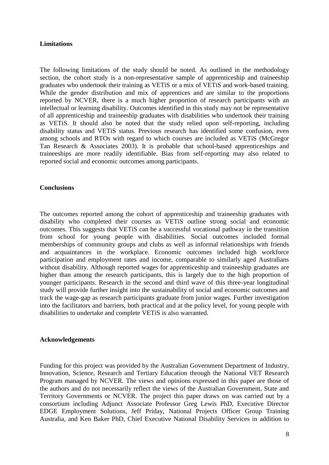# **Limitations**

The following limitations of the study should be noted. As outlined in the methodology section, the cohort study is a non-representative sample of apprenticeship and traineeship graduates who undertook their training as VETiS or a mix of VETiS and work-based training. While the gender distribution and mix of apprentices and are similar to the proportions reported by NCVER, there is a much higher proportion of research participants with an intellectual or learning disability. Outcomes identified in this study may not be representative of all apprenticeship and traineeship graduates with disabilities who undertook their training as VETiS. It should also be noted that the study relied upon self-reporting, including disability status and VETiS status. Previous research has identified some confusion, even among schools and RTOs with regard to which courses are included as VETiS (McGregor Tan Research & Associates 2003). It is probable that school-based apprenticeships and traineeships are more readily identifiable. Bias from self-reporting may also related to reported social and economic outcomes among participants.

# **Conclusions**

The outcomes reported among the cohort of apprenticeship and traineeship graduates with disability who completed their courses as VETiS outline strong social and economic outcomes. This suggests that VETiS can be a successful vocational pathway in the transition from school for young people with disabilities. Social outcomes included formal memberships of community groups and clubs as well as informal relationships with friends and acquaintances in the workplace. Economic outcomes included high workforce participation and employment rates and income, comparable to similarly aged Australians without disability. Although reported wages for apprenticeship and traineeship graduates are higher than among the research participants, this is largely due to the high proportion of younger participants. Research in the second and third wave of this three-year longitudinal study will provide further insight into the sustainability of social and economic outcomes and track the wage-gap as research participants graduate from junior wages. Further investigation into the facilitators and barriers, both practical and at the policy level, for young people with disabilities to undertake and complete VETiS is also warranted.

# **Acknowledgements**

Funding for this project was provided by the Australian Government Department of Industry, Innovation, Science, Research and Tertiary Education through the National VET Research Program managed by NCVER. The views and opinions expressed in this paper are those of the authors and do not necessarily reflect the views of the Australian Government, State and Territory Governments or NCVER. The project this paper draws on was carried out by a consortium including Adjunct Associate Professor Greg Lewis PhD, Executive Director EDGE Employment Solutions, Jeff Priday, National Projects Officer Group Training Australia, and Ken Baker PhD, Chief Executive National Disability Services in addition to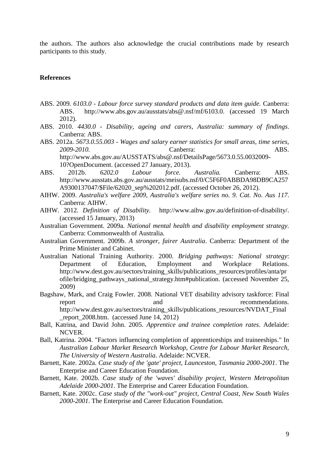the authors. The authors also acknowledge the crucial contributions made by research participants to this study.

#### **References**

- ABS. 2009. *6103.0 - Labour force survey standard products and data item guide.* Canberra: ABS. http://www.abs.gov.au/ausstats/abs@.nsf/mf/6103.0. (accessed 19 March 2012).
- ABS. 2010. *4430.0 - Disability, ageing and carers, Australia: summary of findings*. Canberra: ABS.
- ABS. 2012a. *5673.0.55.003 - Wages and salary earner statistics for small areas, time series, 2009-2010.* Canberra: ABS. http://www.abs.gov.au/AUSSTATS/abs@.nsf/DetailsPage/5673.0.55.0032009- 10?OpenDocument. (accessed 27 January, 2013).
- ABS. 2012b. *6202.0 Labour force. Australia.* Canberra: ABS. http://www.ausstats.abs.gov.au/ausstats/meisubs.nsf/0/C5F6F0ABBDA98DB9CA257 A9300137047/\$File/62020\_sep%202012.pdf. (accessed October 26, 2012).
- AIHW. 2009. *Australia's welfare 2009*, *Australia's welfare series no. 9. Cat. No. Aus 117*. Canberra: AIHW.
- AIHW. 2012. *Definition of Disability.* http://www.aihw.gov.au/definition-of-disability/. (accessed 15 January, 2013)
- Australian Government. 2009a. *National mental health and disability employment strategy*. Canberra: Commonwealth of Australia.
- Australian Government. 2009b. *A stronger, fairer Australia*. Canberra: Department of the Prime Minister and Cabinet.
- Australian National Training Authority. 2000. *Bridging pathways: National strategy*: Department of Education, Employment and Workplace Relations. http://www.dest.gov.au/sectors/training\_skills/publications\_resources/profiles/anta/pr ofile/bridging\_pathways\_national\_strategy.htm#publication. (accessed November 25, 2009)
- Bagshaw, Mark, and Craig Fowler. 2008. National VET disability advisory taskforce: Final report and and recommendations. http://www.dest.gov.au/sectors/training\_skills/publications\_resources/NVDAT\_Final \_report\_2008.htm. (accessed June 14, 2012)
- Ball, Katrina, and David John. 2005. *Apprentice and trainee completion rates*. Adelaide: NCVER.
- Ball, Katrina. 2004. "Factors influencing completion of apprenticeships and traineeships." In *Australian Labour Market Research Workshop*, *Centre for Labour Market Research, The University of Western Australia*. Adelaide: NCVER.
- Barnett, Kate. 2002a. *Case study of the 'gate' project, Launceston, Tasmania 2000-2001*. The Enterprise and Career Education Foundation.
- Barnett, Kate. 2002b. *Case study of the 'waves' disability project, Western Metropolitan Adelaide 2000-2001*. The Enterprise and Career Education Foundation.
- Barnett, Kate. 2002c. *Case study of the "work-out" project, Central Coast, New South Wales 2000-2001*. The Enterprise and Career Education Foundation.